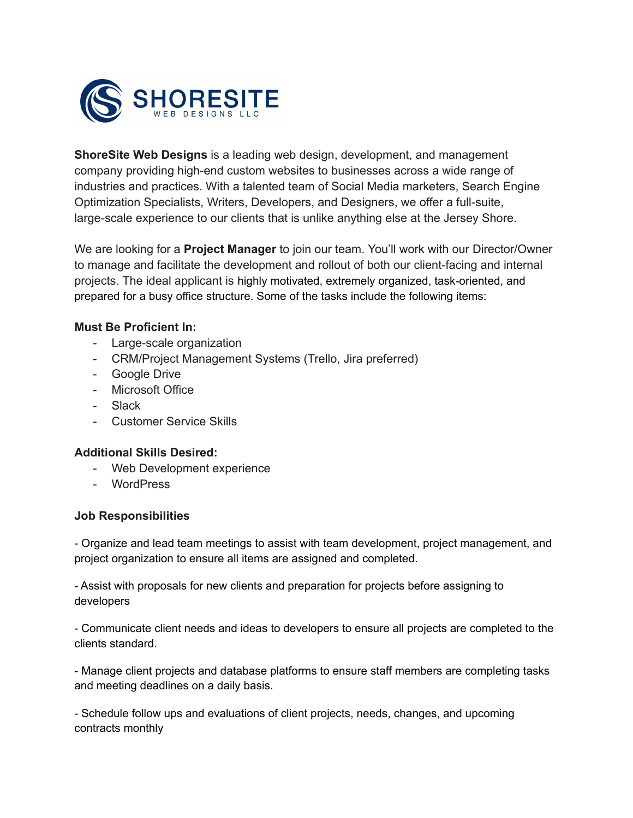

**ShoreSite Web Designs** is a leading web design, development, and management company providing high-end custom websites to businesses across a wide range of industries and practices. With a talented team of Social Media marketers, Search Engine Optimization Specialists, Writers, Developers, and Designers, we offer a full-suite, large-scale experience to our clients that is unlike anything else at the Jersey Shore.

We are looking for a **Project Manager** to join our team. You'll work with our Director/Owner to manage and facilitate the development and rollout of both our client-facing and internal projects. The ideal applicant is highly motivated, extremely organized, task-oriented, and prepared for a busy office structure. Some of the tasks include the following items:

## **Must Be Proficient In:**

- Large-scale organization
- CRM/Project Management Systems (Trello, Jira preferred)
- Google Drive
- Microsoft Office
- Slack
- Customer Service Skills

## **Additional Skills Desired:**

- Web Development experience
- WordPress

## **Job Responsibilities**

- Organize and lead team meetings to assist with team development, project management, and project organization to ensure all items are assigned and completed.

- Assist with proposals for new clients and preparation for projects before assigning to developers

- Communicate client needs and ideas to developers to ensure all projects are completed to the clients standard.

- Manage client projects and database platforms to ensure staff members are completing tasks and meeting deadlines on a daily basis.

- Schedule follow ups and evaluations of client projects, needs, changes, and upcoming contracts monthly